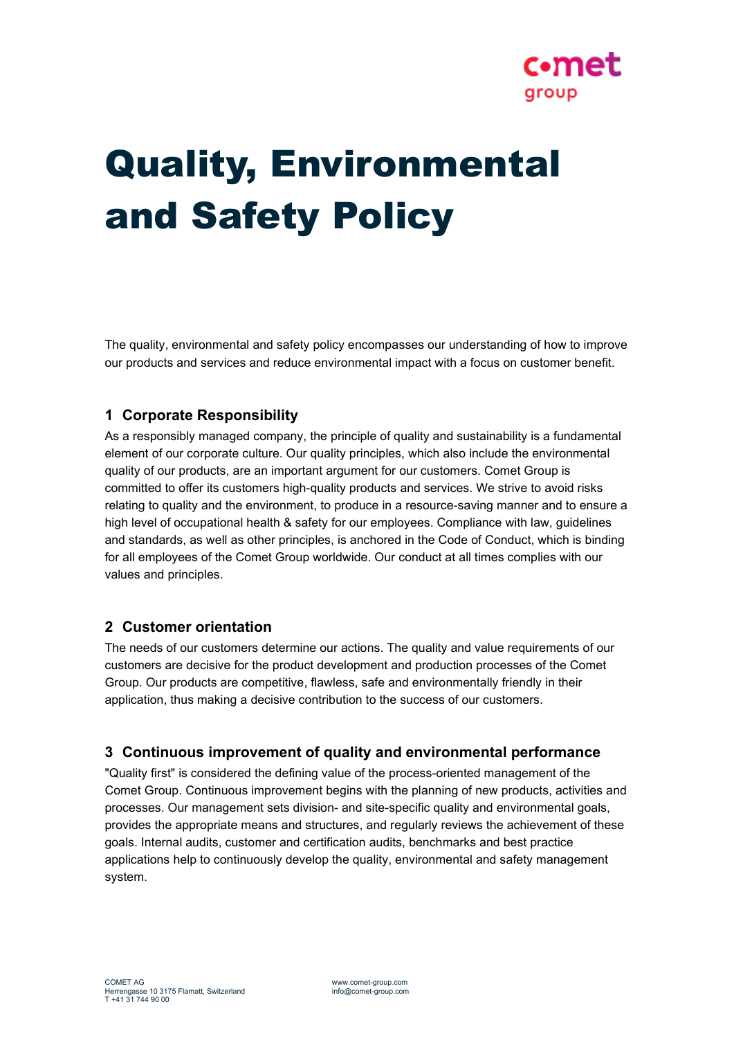

# Quality, Environmental and Safety Policy

The quality, environmental and safety policy encompasses our understanding of how to improve our products and services and reduce environmental impact with a focus on customer benefit.

# **1 Corporate Responsibility**

As a responsibly managed company, the principle of quality and sustainability is a fundamental element of our corporate culture. Our quality principles, which also include the environmental quality of our products, are an important argument for our customers. Comet Group is committed to offer its customers high-quality products and services. We strive to avoid risks relating to quality and the environment, to produce in a resource-saving manner and to ensure a high level of occupational health & safety for our employees. Compliance with law, guidelines and standards, as well as other principles, is anchored in the Code of Conduct, which is binding for all employees of the Comet Group worldwide. Our conduct at all times complies with our values and principles.

# **2 Customer orientation**

The needs of our customers determine our actions. The quality and value requirements of our customers are decisive for the product development and production processes of the Comet Group. Our products are competitive, flawless, safe and environmentally friendly in their application, thus making a decisive contribution to the success of our customers.

#### **3 Continuous improvement of quality and environmental performance**

"Quality first" is considered the defining value of the process-oriented management of the Comet Group. Continuous improvement begins with the planning of new products, activities and processes. Our management sets division- and site-specific quality and environmental goals, provides the appropriate means and structures, and regularly reviews the achievement of these goals. Internal audits, customer and certification audits, benchmarks and best practice applications help to continuously develop the quality, environmental and safety management system.